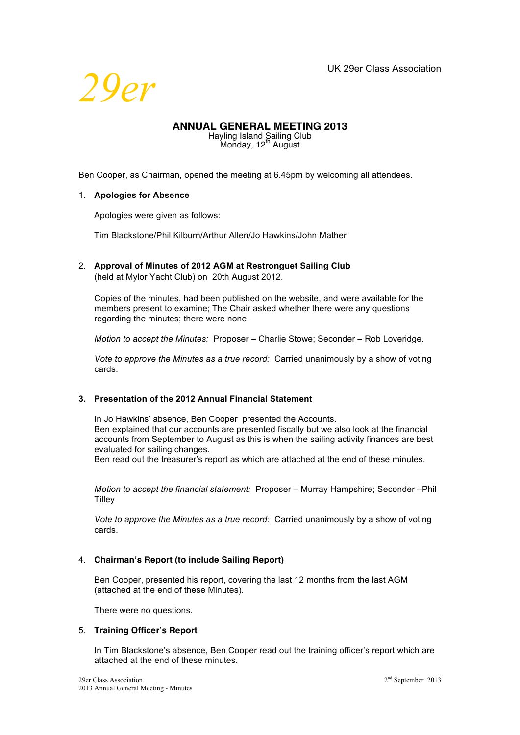

# **ANNUAL GENERAL MEETING 2013**

Hayling Island Sailing Club<br>Monday, 12<sup>th</sup> August

Ben Cooper, as Chairman, opened the meeting at 6.45pm by welcoming all attendees.

### 1. **Apologies for Absence**

Apologies were given as follows:

Tim Blackstone/Phil Kilburn/Arthur Allen/Jo Hawkins/John Mather

2. **Approval of Minutes of 2012 AGM at Restronguet Sailing Club** (held at Mylor Yacht Club) on 20th August 2012.

Copies of the minutes, had been published on the website, and were available for the members present to examine; The Chair asked whether there were any questions regarding the minutes; there were none.

*Motion to accept the Minutes:* Proposer – Charlie Stowe; Seconder – Rob Loveridge.

*Vote to approve the Minutes as a true record:* Carried unanimously by a show of voting cards.

# **3. Presentation of the 2012 Annual Financial Statement**

In Jo Hawkins' absence, Ben Cooper presented the Accounts. Ben explained that our accounts are presented fiscally but we also look at the financial accounts from September to August as this is when the sailing activity finances are best evaluated for sailing changes.

Ben read out the treasurer's report as which are attached at the end of these minutes.

*Motion to accept the financial statement:* Proposer – Murray Hampshire; Seconder –Phil Tilley

*Vote to approve the Minutes as a true record:* Carried unanimously by a show of voting cards.

# 4. **Chairman's Report (to include Sailing Report)**

Ben Cooper, presented his report, covering the last 12 months from the last AGM (attached at the end of these Minutes).

There were no questions.

#### 5. **Training Officer's Report**

In Tim Blackstone's absence, Ben Cooper read out the training officer's report which are attached at the end of these minutes.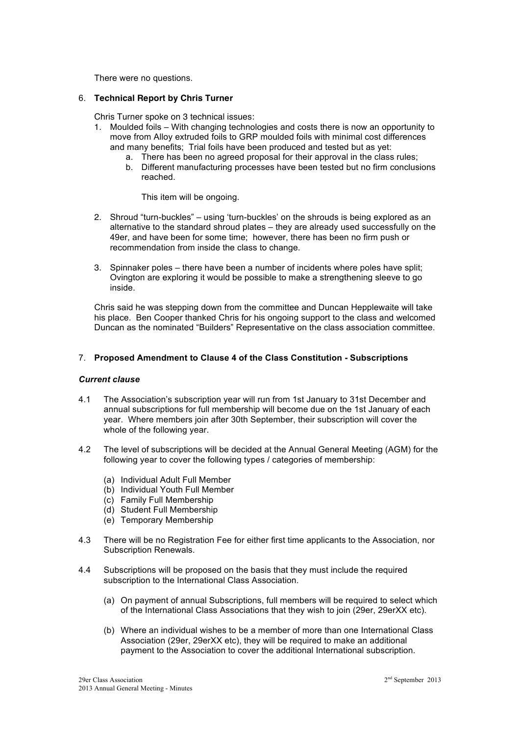There were no questions.

### 6. **Technical Report by Chris Turner**

Chris Turner spoke on 3 technical issues:

- 1. Moulded foils With changing technologies and costs there is now an opportunity to move from Alloy extruded foils to GRP moulded foils with minimal cost differences and many benefits; Trial foils have been produced and tested but as yet:
	- a. There has been no agreed proposal for their approval in the class rules;
	- b. Different manufacturing processes have been tested but no firm conclusions reached.

This item will be ongoing.

- 2. Shroud "turn-buckles" using 'turn-buckles' on the shrouds is being explored as an alternative to the standard shroud plates – they are already used successfully on the 49er, and have been for some time; however, there has been no firm push or recommendation from inside the class to change.
- 3. Spinnaker poles there have been a number of incidents where poles have split; Ovington are exploring it would be possible to make a strengthening sleeve to go inside.

Chris said he was stepping down from the committee and Duncan Hepplewaite will take his place. Ben Cooper thanked Chris for his ongoing support to the class and welcomed Duncan as the nominated "Builders" Representative on the class association committee.

# 7. **Proposed Amendment to Clause 4 of the Class Constitution - Subscriptions**

#### *Current clause*

- 4.1 The Association's subscription year will run from 1st January to 31st December and annual subscriptions for full membership will become due on the 1st January of each year. Where members join after 30th September, their subscription will cover the whole of the following year.
- 4.2 The level of subscriptions will be decided at the Annual General Meeting (AGM) for the following year to cover the following types / categories of membership:
	- (a) Individual Adult Full Member
	- (b) Individual Youth Full Member
	- (c) Family Full Membership
	- (d) Student Full Membership
	- (e) Temporary Membership
- 4.3 There will be no Registration Fee for either first time applicants to the Association, nor Subscription Renewals.
- 4.4 Subscriptions will be proposed on the basis that they must include the required subscription to the International Class Association.
	- (a) On payment of annual Subscriptions, full members will be required to select which of the International Class Associations that they wish to join (29er, 29erXX etc).
	- (b) Where an individual wishes to be a member of more than one International Class Association (29er, 29erXX etc), they will be required to make an additional payment to the Association to cover the additional International subscription.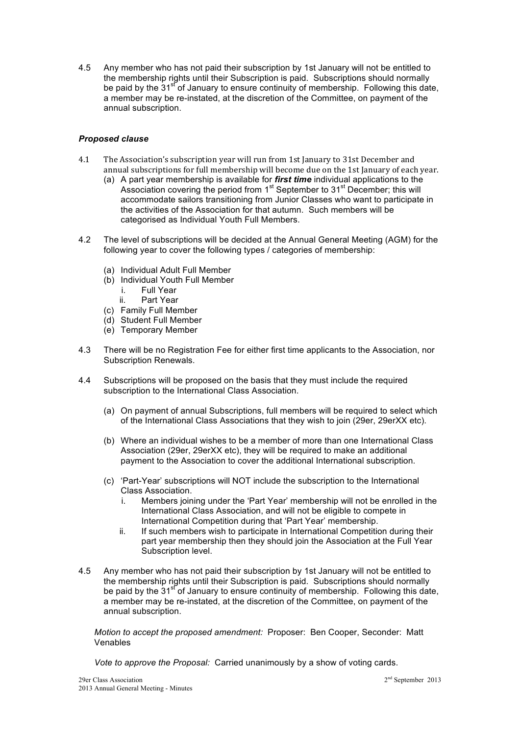4.5 Any member who has not paid their subscription by 1st January will not be entitled to the membership rights until their Subscription is paid. Subscriptions should normally be paid by the  $31<sup>st</sup>$  of January to ensure continuity of membership. Following this date, a member may be re-instated, at the discretion of the Committee, on payment of the annual subscription.

# *Proposed clause*

- 4.1 The Association's subscription year will run from 1st January to 31st December and annual subscriptions for full membership will become due on the 1st January of each year.
	- (a) A part year membership is available for *first time* individual applications to the Association covering the period from 1<sup>st</sup> September to 31<sup>st</sup> December; this will accommodate sailors transitioning from Junior Classes who want to participate in the activities of the Association for that autumn. Such members will be categorised as Individual Youth Full Members.
- 4.2 The level of subscriptions will be decided at the Annual General Meeting (AGM) for the following year to cover the following types / categories of membership:
	- (a) Individual Adult Full Member
	- (b) Individual Youth Full Member
		- i. Full Year
		- ii. Part Year
	- (c) Family Full Member
	- (d) Student Full Member
	- (e) Temporary Member
- 4.3 There will be no Registration Fee for either first time applicants to the Association, nor Subscription Renewals.
- 4.4 Subscriptions will be proposed on the basis that they must include the required subscription to the International Class Association.
	- (a) On payment of annual Subscriptions, full members will be required to select which of the International Class Associations that they wish to join (29er, 29erXX etc).
	- (b) Where an individual wishes to be a member of more than one International Class Association (29er, 29erXX etc), they will be required to make an additional payment to the Association to cover the additional International subscription.
	- (c) 'Part-Year' subscriptions will NOT include the subscription to the International Class Association.
		- i. Members joining under the 'Part Year' membership will not be enrolled in the International Class Association, and will not be eligible to compete in International Competition during that 'Part Year' membership.
		- ii. If such members wish to participate in International Competition during their part year membership then they should join the Association at the Full Year Subscription level.
- 4.5 Any member who has not paid their subscription by 1st January will not be entitled to the membership rights until their Subscription is paid. Subscriptions should normally be paid by the 31<sup>st</sup> of January to ensure continuity of membership. Following this date, a member may be re-instated, at the discretion of the Committee, on payment of the annual subscription.

*Motion to accept the proposed amendment:* Proposer: Ben Cooper, Seconder: Matt Venables

*Vote to approve the Proposal:* Carried unanimously by a show of voting cards.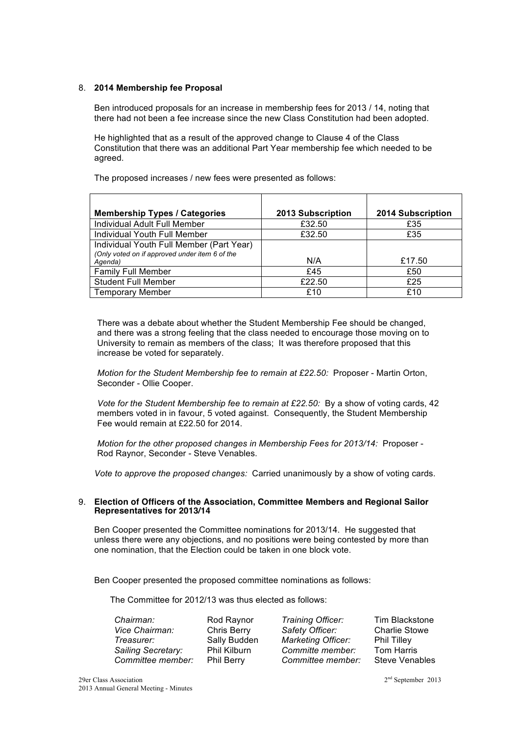### 8. **2014 Membership fee Proposal**

Ben introduced proposals for an increase in membership fees for 2013 / 14, noting that there had not been a fee increase since the new Class Constitution had been adopted.

He highlighted that as a result of the approved change to Clause 4 of the Class Constitution that there was an additional Part Year membership fee which needed to be agreed.

The proposed increases / new fees were presented as follows:

| <b>Membership Types / Categories</b>                      | 2013 Subscription | 2014 Subscription |
|-----------------------------------------------------------|-------------------|-------------------|
| Individual Adult Full Member                              | £32.50            | £35               |
| Individual Youth Full Member                              | £32.50            | £35               |
| Individual Youth Full Member (Part Year)                  |                   |                   |
| (Only voted on if approved under item 6 of the<br>Agenda) | N/A               | £17.50            |
| <b>Family Full Member</b>                                 | £45               | £50               |
| <b>Student Full Member</b>                                | £22.50            | £25               |
| <b>Temporary Member</b>                                   | £10               | £10               |

There was a debate about whether the Student Membership Fee should be changed, and there was a strong feeling that the class needed to encourage those moving on to University to remain as members of the class; It was therefore proposed that this increase be voted for separately.

*Motion for the Student Membership fee to remain at £22.50:* Proposer - Martin Orton, Seconder - Ollie Cooper.

*Vote for the Student Membership fee to remain at £22.50:* By a show of voting cards, 42 members voted in in favour, 5 voted against. Consequently, the Student Membership Fee would remain at £22.50 for 2014.

*Motion for the other proposed changes in Membership Fees for 2013/14:* Proposer - Rod Raynor, Seconder - Steve Venables.

*Vote to approve the proposed changes:* Carried unanimously by a show of voting cards.

#### 9. **Election of Officers of the Association, Committee Members and Regional Sailor Representatives for 2013/14**

Ben Cooper presented the Committee nominations for 2013/14. He suggested that unless there were any objections, and no positions were being contested by more than one nomination, that the Election could be taken in one block vote.

Ben Cooper presented the proposed committee nominations as follows:

The Committee for 2012/13 was thus elected as follows:

*Chairman:* Rod Raynor *Training Officer:* Tim Blackstone *Vice Chairman:* Chris Berry *Safety Officer:* Charlie Stowe *Treasurer:* Sally Budden *Marketing Officer:* Phil Tilley *Sailing Secretary:* Phil Kilburn *Committe member:* Tom Harris *Committee member:* Phil Berry *Committee member:* Steve Venables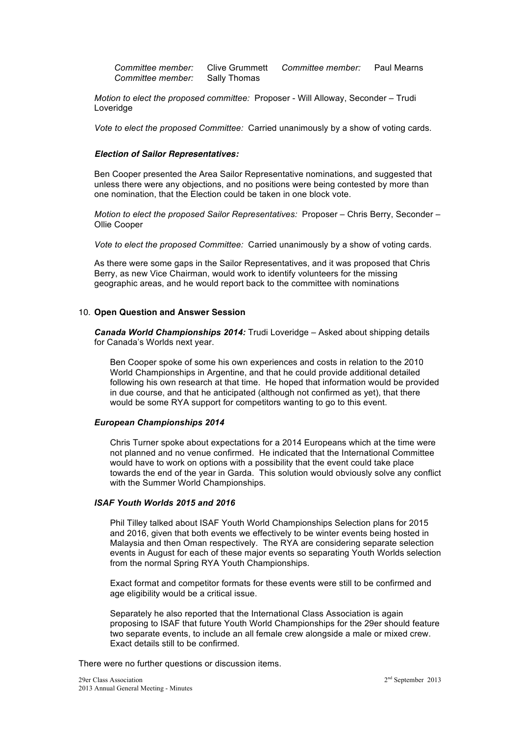*Committee member:* Clive Grummett *Committee member:* Paul Mearns *Committee member:* Sally Thomas

*Motion to elect the proposed committee:* Proposer - Will Alloway, Seconder – Trudi Loveridge

*Vote to elect the proposed Committee:* Carried unanimously by a show of voting cards.

#### *Election of Sailor Representatives:*

Ben Cooper presented the Area Sailor Representative nominations, and suggested that unless there were any objections, and no positions were being contested by more than one nomination, that the Election could be taken in one block vote.

*Motion to elect the proposed Sailor Representatives:* Proposer – Chris Berry, Seconder – Ollie Cooper

*Vote to elect the proposed Committee:* Carried unanimously by a show of voting cards.

As there were some gaps in the Sailor Representatives, and it was proposed that Chris Berry, as new Vice Chairman, would work to identify volunteers for the missing geographic areas, and he would report back to the committee with nominations

#### 10. **Open Question and Answer Session**

*Canada World Championships 2014:* Trudi Loveridge – Asked about shipping details for Canada's Worlds next year.

Ben Cooper spoke of some his own experiences and costs in relation to the 2010 World Championships in Argentine, and that he could provide additional detailed following his own research at that time. He hoped that information would be provided in due course, and that he anticipated (although not confirmed as yet), that there would be some RYA support for competitors wanting to go to this event.

#### *European Championships 2014*

Chris Turner spoke about expectations for a 2014 Europeans which at the time were not planned and no venue confirmed. He indicated that the International Committee would have to work on options with a possibility that the event could take place towards the end of the year in Garda. This solution would obviously solve any conflict with the Summer World Championships.

# *ISAF Youth Worlds 2015 and 2016*

Phil Tilley talked about ISAF Youth World Championships Selection plans for 2015 and 2016, given that both events we effectively to be winter events being hosted in Malaysia and then Oman respectively. The RYA are considering separate selection events in August for each of these major events so separating Youth Worlds selection from the normal Spring RYA Youth Championships.

Exact format and competitor formats for these events were still to be confirmed and age eligibility would be a critical issue.

Separately he also reported that the International Class Association is again proposing to ISAF that future Youth World Championships for the 29er should feature two separate events, to include an all female crew alongside a male or mixed crew. Exact details still to be confirmed.

There were no further questions or discussion items.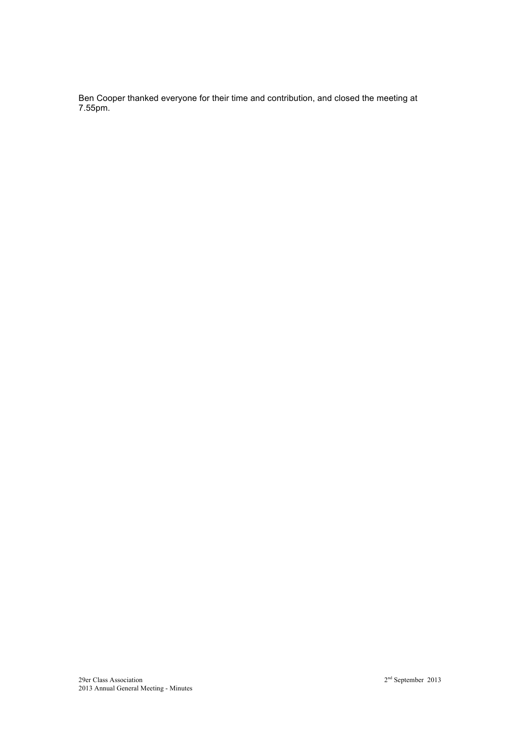Ben Cooper thanked everyone for their time and contribution, and closed the meeting at 7.55pm.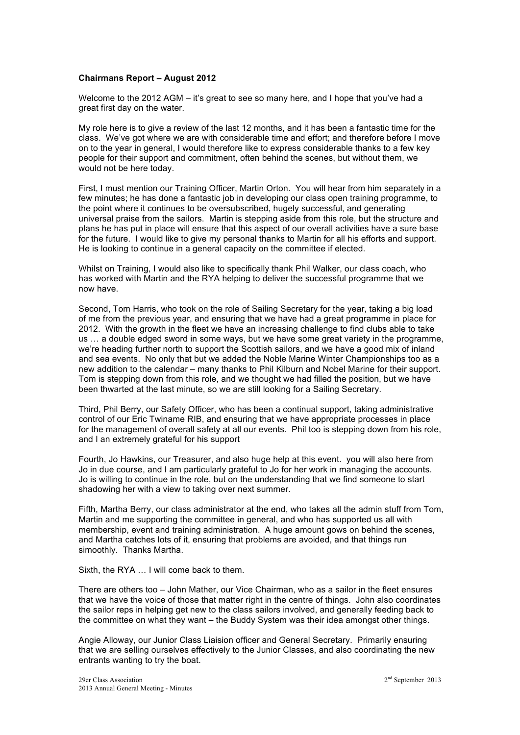### **Chairmans Report – August 2012**

Welcome to the 2012 AGM – it's great to see so many here, and I hope that you've had a great first day on the water.

My role here is to give a review of the last 12 months, and it has been a fantastic time for the class. We've got where we are with considerable time and effort; and therefore before I move on to the year in general, I would therefore like to express considerable thanks to a few key people for their support and commitment, often behind the scenes, but without them, we would not be here today.

First, I must mention our Training Officer, Martin Orton. You will hear from him separately in a few minutes; he has done a fantastic job in developing our class open training programme, to the point where it continues to be oversubscribed, hugely successful, and generating universal praise from the sailors. Martin is stepping aside from this role, but the structure and plans he has put in place will ensure that this aspect of our overall activities have a sure base for the future. I would like to give my personal thanks to Martin for all his efforts and support. He is looking to continue in a general capacity on the committee if elected.

Whilst on Training, I would also like to specifically thank Phil Walker, our class coach, who has worked with Martin and the RYA helping to deliver the successful programme that we now have.

Second, Tom Harris, who took on the role of Sailing Secretary for the year, taking a big load of me from the previous year, and ensuring that we have had a great programme in place for 2012. With the growth in the fleet we have an increasing challenge to find clubs able to take us … a double edged sword in some ways, but we have some great variety in the programme, we're heading further north to support the Scottish sailors, and we have a good mix of inland and sea events. No only that but we added the Noble Marine Winter Championships too as a new addition to the calendar – many thanks to Phil Kilburn and Nobel Marine for their support. Tom is stepping down from this role, and we thought we had filled the position, but we have been thwarted at the last minute, so we are still looking for a Sailing Secretary.

Third, Phil Berry, our Safety Officer, who has been a continual support, taking administrative control of our Eric Twiname RIB, and ensuring that we have appropriate processes in place for the management of overall safety at all our events. Phil too is stepping down from his role, and I an extremely grateful for his support

Fourth, Jo Hawkins, our Treasurer, and also huge help at this event. you will also here from Jo in due course, and I am particularly grateful to Jo for her work in managing the accounts. Jo is willing to continue in the role, but on the understanding that we find someone to start shadowing her with a view to taking over next summer.

Fifth, Martha Berry, our class administrator at the end, who takes all the admin stuff from Tom, Martin and me supporting the committee in general, and who has supported us all with membership, event and training administration. A huge amount gows on behind the scenes, and Martha catches lots of it, ensuring that problems are avoided, and that things run simoothly. Thanks Martha.

Sixth, the RYA … I will come back to them.

There are others too – John Mather, our Vice Chairman, who as a sailor in the fleet ensures that we have the voice of those that matter right in the centre of things. John also coordinates the sailor reps in helping get new to the class sailors involved, and generally feeding back to the committee on what they want – the Buddy System was their idea amongst other things.

Angie Alloway, our Junior Class Liaision officer and General Secretary. Primarily ensuring that we are selling ourselves effectively to the Junior Classes, and also coordinating the new entrants wanting to try the boat.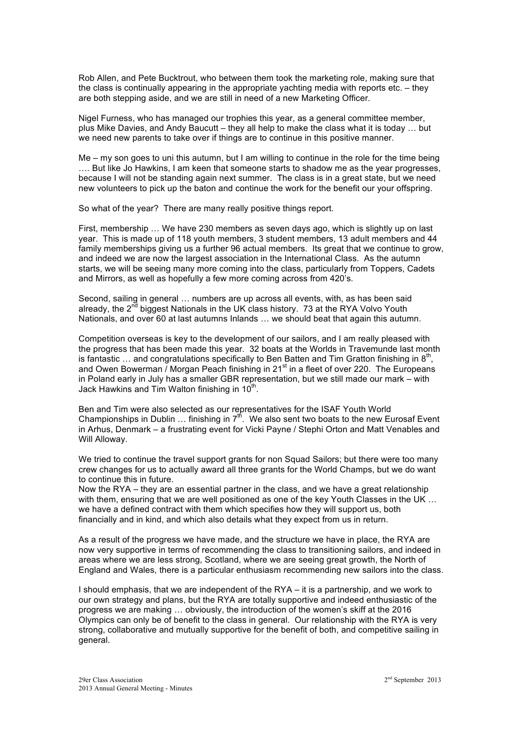Rob Allen, and Pete Bucktrout, who between them took the marketing role, making sure that the class is continually appearing in the appropriate yachting media with reports etc. – they are both stepping aside, and we are still in need of a new Marketing Officer.

Nigel Furness, who has managed our trophies this year, as a general committee member, plus Mike Davies, and Andy Baucutt – they all help to make the class what it is today … but we need new parents to take over if things are to continue in this positive manner.

Me – my son goes to uni this autumn, but I am willing to continue in the role for the time being …. But like Jo Hawkins, I am keen that someone starts to shadow me as the year progresses, because I will not be standing again next summer. The class is in a great state, but we need new volunteers to pick up the baton and continue the work for the benefit our your offspring.

So what of the year? There are many really positive things report.

First, membership … We have 230 members as seven days ago, which is slightly up on last year. This is made up of 118 youth members, 3 student members, 13 adult members and 44 family memberships giving us a further 96 actual members. Its great that we continue to grow, and indeed we are now the largest association in the International Class. As the autumn starts, we will be seeing many more coming into the class, particularly from Toppers, Cadets and Mirrors, as well as hopefully a few more coming across from 420's.

Second, sailing in general … numbers are up across all events, with, as has been said already, the 2<sup>nd</sup> biggest Nationals in the UK class history. 73 at the RYA Volvo Youth Nationals, and over 60 at last autumns Inlands … we should beat that again this autumn.

Competition overseas is key to the development of our sailors, and I am really pleased with the progress that has been made this year. 32 boats at the Worlds in Travemunde last month is fantastic  $\ldots$  and congratulations specifically to Ben Batten and Tim Gratton finishing in  $8<sup>th</sup>$ , and Owen Bowerman / Morgan Peach finishing in  $21<sup>st</sup>$  in a fleet of over 220. The Europeans in Poland early in July has a smaller GBR representation, but we still made our mark – with Jack Hawkins and Tim Walton finishing in  $10<sup>th</sup>$ .

Ben and Tim were also selected as our representatives for the ISAF Youth World Championships in Dublin  $\ldots$  finishing in  $7<sup>th</sup>$ . We also sent two boats to the new Eurosaf Event in Arhus, Denmark – a frustrating event for Vicki Payne / Stephi Orton and Matt Venables and Will Alloway.

We tried to continue the travel support grants for non Squad Sailors; but there were too many crew changes for us to actually award all three grants for the World Champs, but we do want to continue this in future.

Now the RYA – they are an essential partner in the class, and we have a great relationship with them, ensuring that we are well positioned as one of the key Youth Classes in the UK ... we have a defined contract with them which specifies how they will support us, both financially and in kind, and which also details what they expect from us in return.

As a result of the progress we have made, and the structure we have in place, the RYA are now very supportive in terms of recommending the class to transitioning sailors, and indeed in areas where we are less strong, Scotland, where we are seeing great growth, the North of England and Wales, there is a particular enthusiasm recommending new sailors into the class.

I should emphasis, that we are independent of the RYA – it is a partnership, and we work to our own strategy and plans, but the RYA are totally supportive and indeed enthusiastic of the progress we are making … obviously, the introduction of the women's skiff at the 2016 Olympics can only be of benefit to the class in general. Our relationship with the RYA is very strong, collaborative and mutually supportive for the benefit of both, and competitive sailing in general.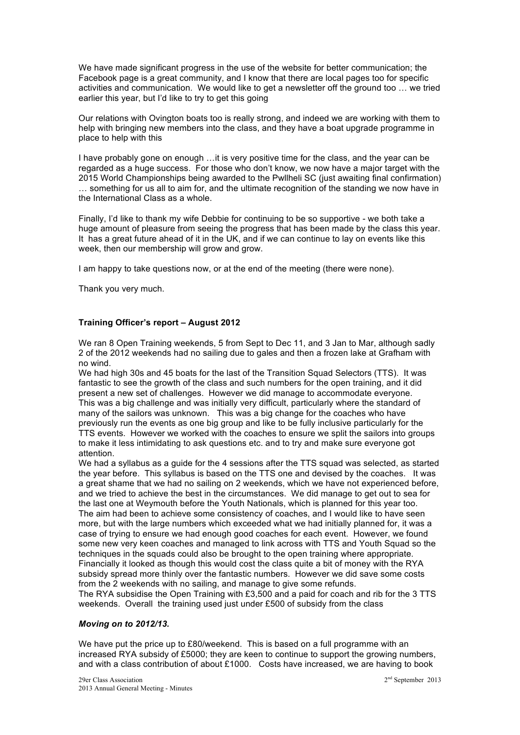We have made significant progress in the use of the website for better communication; the Facebook page is a great community, and I know that there are local pages too for specific activities and communication. We would like to get a newsletter off the ground too … we tried earlier this year, but I'd like to try to get this going

Our relations with Ovington boats too is really strong, and indeed we are working with them to help with bringing new members into the class, and they have a boat upgrade programme in place to help with this

I have probably gone on enough …it is very positive time for the class, and the year can be regarded as a huge success. For those who don't know, we now have a major target with the 2015 World Championships being awarded to the Pwllheli SC (just awaiting final confirmation) … something for us all to aim for, and the ultimate recognition of the standing we now have in the International Class as a whole.

Finally, I'd like to thank my wife Debbie for continuing to be so supportive - we both take a huge amount of pleasure from seeing the progress that has been made by the class this year. It has a great future ahead of it in the UK, and if we can continue to lay on events like this week, then our membership will grow and grow.

I am happy to take questions now, or at the end of the meeting (there were none).

Thank you very much.

#### **Training Officer's report – August 2012**

We ran 8 Open Training weekends, 5 from Sept to Dec 11, and 3 Jan to Mar, although sadly 2 of the 2012 weekends had no sailing due to gales and then a frozen lake at Grafham with no wind.

We had high 30s and 45 boats for the last of the Transition Squad Selectors (TTS). It was fantastic to see the growth of the class and such numbers for the open training, and it did present a new set of challenges. However we did manage to accommodate everyone. This was a big challenge and was initially very difficult, particularly where the standard of many of the sailors was unknown. This was a big change for the coaches who have previously run the events as one big group and like to be fully inclusive particularly for the TTS events. However we worked with the coaches to ensure we split the sailors into groups to make it less intimidating to ask questions etc. and to try and make sure everyone got attention.

We had a syllabus as a guide for the 4 sessions after the TTS squad was selected, as started the year before. This syllabus is based on the TTS one and devised by the coaches. It was a great shame that we had no sailing on 2 weekends, which we have not experienced before, and we tried to achieve the best in the circumstances. We did manage to get out to sea for the last one at Weymouth before the Youth Nationals, which is planned for this year too. The aim had been to achieve some consistency of coaches, and I would like to have seen more, but with the large numbers which exceeded what we had initially planned for, it was a case of trying to ensure we had enough good coaches for each event. However, we found some new very keen coaches and managed to link across with TTS and Youth Squad so the techniques in the squads could also be brought to the open training where appropriate. Financially it looked as though this would cost the class quite a bit of money with the RYA subsidy spread more thinly over the fantastic numbers. However we did save some costs from the 2 weekends with no sailing, and manage to give some refunds. The RYA subsidise the Open Training with £3,500 and a paid for coach and rib for the 3 TTS weekends. Overall the training used just under £500 of subsidy from the class

#### *Moving on to 2012/13.*

We have put the price up to £80/weekend. This is based on a full programme with an increased RYA subsidy of £5000; they are keen to continue to support the growing numbers, and with a class contribution of about £1000. Costs have increased, we are having to book